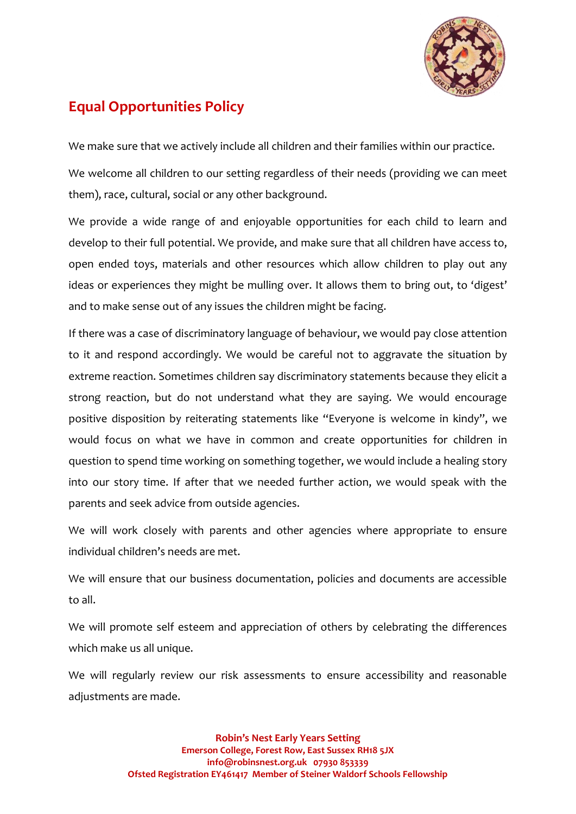

## **Equal Opportunities Policy**

We make sure that we actively include all children and their families within our practice.

We welcome all children to our setting regardless of their needs (providing we can meet them), race, cultural, social or any other background.

We provide a wide range of and enjoyable opportunities for each child to learn and develop to their full potential. We provide, and make sure that all children have access to, open ended toys, materials and other resources which allow children to play out any ideas or experiences they might be mulling over. It allows them to bring out, to 'digest' and to make sense out of any issues the children might be facing.

If there was a case of discriminatory language of behaviour, we would pay close attention to it and respond accordingly. We would be careful not to aggravate the situation by extreme reaction. Sometimes children say discriminatory statements because they elicit a strong reaction, but do not understand what they are saying. We would encourage positive disposition by reiterating statements like "Everyone is welcome in kindy", we would focus on what we have in common and create opportunities for children in question to spend time working on something together, we would include a healing story into our story time. If after that we needed further action, we would speak with the parents and seek advice from outside agencies.

We will work closely with parents and other agencies where appropriate to ensure individual children's needs are met.

We will ensure that our business documentation, policies and documents are accessible to all.

We will promote self esteem and appreciation of others by celebrating the differences which make us all unique.

We will regularly review our risk assessments to ensure accessibility and reasonable adiustments are made.